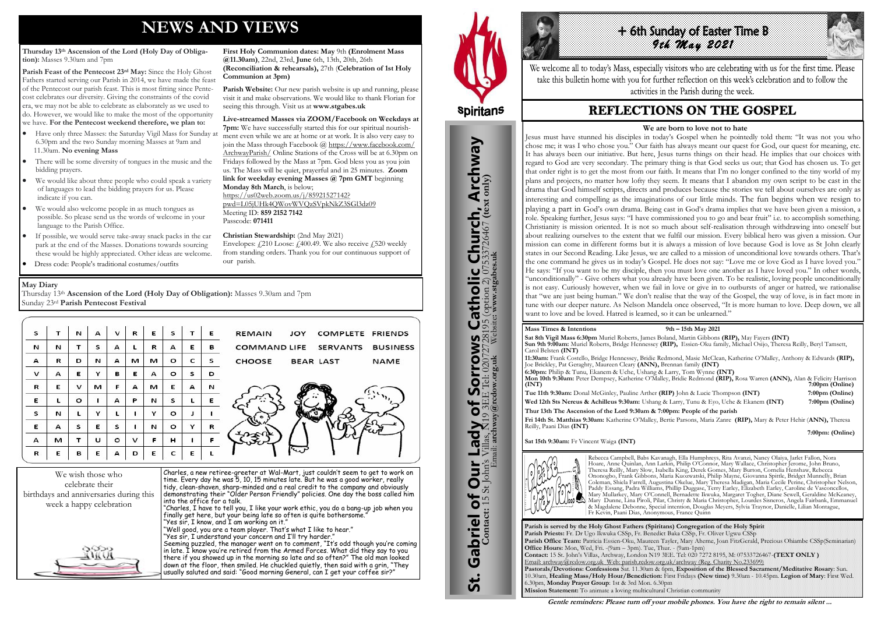# **NEWS AND VIEWS**

#### **Thursday 13th Ascension of the Lord (Holy Day of Obligation):** Masses 9.30am and 7pm

**Parish Feast of the Pentecost 23rd May:** Since the Holy Ghost Fathers started serving our Parish in 2014, we have made the feast of the Pentecost our parish feast. This is most fitting since Pentecost celebrates our diversity. Giving the constraints of the covid era, we may not be able to celebrate as elaborately as we used to do. However, we would like to make the most of the opportunity we have. **For the Pentecost weekend therefore, we plan to:**

Parish Website: Our new parish website is up and running, please visit it and make observations. We would like to thank Florian for

- Have only three Masses: the Saturday Vigil Mass for Sunday at 6.30pm and the two Sunday morning Masses at 9am and 11.30am. **No evening Mass**
- There will be some diversity of tongues in the music and the bidding prayers.
- We would like about three people who could speak a variety of languages to lead the bidding prayers for us. Please indicate if you can.
- We would also welcome people in as much tongues as possible. So please send us the words of welcome in your language to the Parish Office.
- If possible, we would serve take-away snack packs in the car park at the end of the Masses. Donations towards sourcing these would be highly appreciated. Other ideas are welcome.
- Dress code: People's traditional costumes/outfits

Envelopes:  $f(210 \text{ Loose: } f400.49)$ . We also receive  $f(520 \text{ weekly})$ from standing orders. Thank you for our continuous support of

**First Holy Communion dates: May** 9th **(Enrolment Mass** 

**@11.30am)**, 22nd, 23rd, **June** 6th, 13th, 20th, 26th

**(Reconciliation & rehearsals),** 27th (**Celebration of 1st Holy** 

**Communion at 3pm)** 

seeing this through. Visit us at **www.stgabes.uk** 

**Live-streamed Masses via ZOOM/Facebook on Weekdays at 7pm:** We have successfully started this for our spiritual nourishment even while we are at home or at work. It is also very easy to join the Mass through Facebook @ [https://www.facebook.com/](https://www.facebook.com/ArchwayParish/) [ArchwayParish/](https://www.facebook.com/ArchwayParish/) Online Stations of the Cross will be at 6.30pm on Fridays followed by the Mass at 7pm. God bless you as you join us. The Mass will be quiet, prayerful and in 25 minutes. **Zoom link for weekday evening Masses @ 7pm GMT** beginning

**Monday 8th March**, is below;

[https://us02web.zoom.us/j/85921527142?](https://us02web.zoom.us/j/85921527142?pwd=L05jUHk4QWovWVQzSVpkNkZ3SGl3dz09)

[pwd=L05jUHk4QWovWVQzSVpkNkZ3SGl3dz09](https://us02web.zoom.us/j/85921527142?pwd=L05jUHk4QWovWVQzSVpkNkZ3SGl3dz09)

Meeting ID: **859 2152 7142** 

Passcode: **071411** 

**Christian Stewardship:** (2nd May 2021)

our parish.



Charles, a new retiree-greeter at Wal-Mart, just couldn't seem to get to work on time. Every day he was 5, 10, 15 minutes late. But he was a good worker, really tidy, clean-shaven, sharp-minded and a real credit to the company and obviously demonstrating their "Older Person Friendly" policies. One day the boss called him into the office for a talk.

7:00pm (Online)  **7:00pm: (Online)** 

"Charles, I have to tell you, I like your work ethic, you do a bang-up job when you finally get here, but your being late so often is quite bothersome."

- "Yes sir, I know, and I am working on it." "Well good, you are a team player. That's what I like to hear."
- "Yes sir, I understand your concern and I'll try harder."

Seeming puzzled, the manager went on to comment, "It's odd though you're coming in late. I know you're retired from the Armed Forces. What did they say to you there if you showed up in the morning so late and so often?" The old man looked down at the floor, then smiled. He chuckled quietly, then said with a grin, "They usually saluted and said: "Good morning General, can I get your coffee sir?"



St. Gabriel of Our Lady of Sorrows Catholic Church, Archway

**Sorrows** 

Our Lady of Sorro

Gabriel of Our

**St.** 

**S Catholic Church, Archway**<br>28195 (option 2) 07533726467 (text only)

#### **May Diary**

Thursday 13th **Ascension of the Lord (Holy Day of Obligation):** Masses 9.30am and 7pm Sunday 23rd **Parish Pentecost Festival** 

| s | т | N       | А | v       | R | E | s       | T. | Е | <b>REMAIN</b><br><b>COMPLETE FRIENDS</b><br>JOY  |
|---|---|---------|---|---------|---|---|---------|----|---|--------------------------------------------------|
| N | N |         | s | А       |   | R | А       | Е  | в | COMMAND LIFE SERVANTS<br><b>BUSINESS</b>         |
| А | R | D       | N | А       | м | м | $\circ$ | c  | s | <b>CHOOSE</b><br><b>BEAR LAST</b><br><b>NAME</b> |
| v | А | Е       | Y | в       | Е | A | $\circ$ | s  | D |                                                  |
| R | Е | v       | м | F       | А | м | Е       | А  | N |                                                  |
| Е |   | $\circ$ |   | А       | Р | N | s       |    | Е |                                                  |
| s | N |         | Y | L       |   | Y | $\circ$ |    |   |                                                  |
| E | А | s       | Е | s       |   | N | $\circ$ | Y  | R |                                                  |
| А | м |         | U | $\circ$ | v | F | н       |    | F |                                                  |
| R | Е | в       | Е | А       | D | Ε | c       | Е  |   |                                                  |



We welcome all to today's Mass, especially visitors who are celebrating with us for the first time. Please take this bulletin home with you for further reflection on this week's celebration and to follow the activities in the Parish during the week.

# **REFLECTIONS ON THE GOSPEL**

**Parish is served by the Holy Ghost Fathers (Spiritans) Congregation of the Holy Spirit Parish Priests:** Fr. Dr Ugo Ikwuka CSSp, Fr. Benedict Baka CSSp, Fr. Oliver Ugwu CSSp **Parish Office Team:** Patricia Essien-Oku, Maureen Tayler, Mary Aherne, Joan FitzGerald, Precious Ohiambe CSSp(Seminarian) **Office Hours:** Mon, Wed, Fri. -(9am – 3pm). Tue, Thur. - (9am-1pm) **Contact:** 15 St. John's Villas, Archway, London N19 3EE. Tel: 020 7272 8195, M: 07533726467-**(TEXT ONLY )** Email: archway@rcdow.org.uk Web: parish.rcdow.org.uk/archway (Reg. Charity No.233699) **Pastorals/Devotions: Confessions** Sat. 11.30am & 6pm, **Exposition of the Blessed Sacrament/Meditative Rosary**: Sun. 10.30am, **Healing Mass/Holy Hour/Benediction:** First Fridays **(New time)** 9.30am - 10.45pm. **Legion of Mary**: First Wed. 6.30pm, **Monday Prayer Group**: 1st & 3rd Mon. 6.30pm **Mission Statement:** To animate a loving multicultural Christian community

**Contact:** 15 St John's Villas, N19 3EE Tel: 02072728195 (option 2) 07533726467 **(text only)** Email: **archway@rcdow.org.uk** Website**: www.stgabes.uk**

**Mass Times & Intentions 9th – 15th May 2021 Sat 8th Vigil Mass 6:30pm** Muriel Roberts, James Boland, Martin Gibbons **(RIP),** May Fayers **(INT) Sun 9th 9:00am:** Muriel Roberts, Bridge Hennessey **(RIP),** Essien-Oku family, Michael Osijo, Theresa Reilly, Beryl Tamsett, Carol Belsten **(INT) 11:30am:** Frank Costello, Bridge Hennessey, Bridie Redmond, Masie McClean, Katherine O'Malley, Anthony & Edwards **(RIP),** Joe Brickley, Pat Geraghty, Maureen Cleary **(ANN),** Brennan family **(INT) 6:30pm:** Philip & Tunu, Ekanem & Uche, Ushang & Larry, Tom Wynne **(INT) Mon 10th 9:30am:** Peter Dempsey, Katherine O'Malley, Bridie Redmond **(RIP),** Rosa Warren **(ANN),** Alan & Felicity Harrison **Tue 11th 9:30am:** Donal McGinley, Pauline Arther **(RIP)** John & Lucie Thompson **(INT) 7:00pm (Online) Wed 12th Sts Nereus & Achilleus 9:30am:** Ushang & Larry, Tunu & Eyo, Uche & Ekanem **(INT) 7:00pm (Online) Thur 13th The Ascension of the Lord 9:30am & 7:00pm: People of the parish Fri 14th St. Matthias 9:30am:** Katherine O'Malley, Bertie Parsons, Maria Zanre **(RIP),** Mary & Peter Hehir (**ANN),** Theresa Reilly, Paani Dias **(INT)** 

#### **Sat 15th 9:30am:** Fr Vincent Waiga **(INT)**



Rebecca Campbell, Babs Kavanagh, Ella Humphreys, Rita Avanzi, Nancy Olaiya, Jarlet Fallon, Nora Hoare, Anne Quinlan, Ann Larkin, Philip O'Connor, Mary Wallace, Christopher Jerome, John Bruno, Theresa Reilly, Mary Slow, Isabella King, Derek Gomes, Mary Burton, Cornelia Henshaw, Rebecca Ononogbo, Frank Gibbons, Maria Kuozwatski, Philip Mayne, Giovanna Spittle, Bridget Munnelly, Brian Coleman, Shiela Farrell, Augustina Okelue, Mary Theresa Madigan, Maria Cecile Perine, Christopher Nelson, Paddy Essang, Padra Williams, Phillip Duggase, Terry Earley, Elizabeth Earley, Caroline de Vasconcellos, Mary Mullarkey, Mary O'Connell, Bernadette Ikwuka, Margaret Togher, Diane Sewell, Geraldine McKeaney, Mary Dunne, Lina Piroli, Pilar, Christy & Maria Christopher, Lourdes Sisneros, Angela Fairbank, Emmanuel & Magdalene Debonne, Special intention, Douglas Meyers, Sylvia Traynor, Danielle, Lilian Montague, Fr Kevin, Paani Dias, Anonymous, France Quinn

**Gentle reminders: Please turn off your mobile phones. You have the right to remain silent ...** 

#### **We are born to love not to hate**

Jesus must have stunned his disciples in today's Gospel when he pointedly told them: "It was not you who chose me; it was I who chose you." Our faith has always meant our quest for God, our quest for meaning, etc. It has always been our initiative. But here, Jesus turns things on their head. He implies that our choices with regard to God are very secondary. The primary thing is that God seeks us out; that God has chosen us. To get that order right is to get the most from our faith. It means that I'm no longer confined to the tiny world of my plans and projects, no matter how lofty they seem. It means that I abandon my own script to be cast in the drama that God himself scripts, directs and produces because the stories we tell about ourselves are only as interesting and compelling as the imaginations of our little minds. The fun begins when we resign to playing a part in God's own drama. Being cast in God's drama implies that we have been given a mission, a role. Speaking further, Jesus says: "I have commissioned you to go and bear fruit" i.e. to accomplish something. Christianity is mission oriented. It is not so much about self-realisation through withdrawing into oneself but about realizing ourselves to the extent that we fulfil our mission. Every biblical hero was given a mission. Our mission can come in different forms but it is always a mission of love because God is love as St John clearly states in our Second Reading. Like Jesus, we are called to a mission of unconditional love towards others. That's the one command he gives us in today's Gospel. He does not say: "Love me or love God as I have loved you." He says: "If you want to be my disciple, then you must love one another as I have loved you." In other words, "unconditionally" - Give others what you already have been given. To be realistic, loving people unconditionally is not easy. Curiously however, when we fail in love or give in to outbursts of anger or hatred, we rationalise that "we are just being human." We don't realise that the way of the Gospel, the way of love, is in fact more in tune with our deeper nature. As Nelson Mandela once observed, "It is more human to love. Deep down, we all want to love and be loved. Hatred is learned, so it can be unlearned."